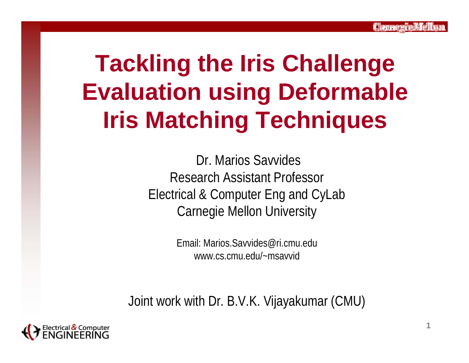# **Tackling the Iris Challenge Evaluation using Deformable Iris Matching Techniques**

Dr. Marios SavvidesResearch Assistant ProfessorElectrical & Computer Eng and CyLab Carnegie Mellon University

> Email: Marios.Savvides@ri.cmu.eduwww.cs.cmu.edu/~msavvid

Joint work with Dr. B.V.K. Vijayakumar (CMU)

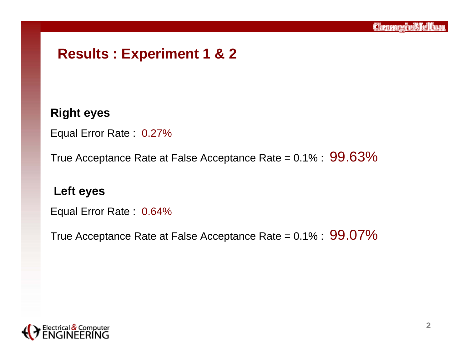# **Results : Experiment 1 & 2**

#### **Right eyes**

Equal Error Rate : 0.27%

True Acceptance Rate at False Acceptance Rate =  $0.1\%$  :  $99.63\%$ 

#### **Left eyes**

Equal Error Rate : 0.64%

True Acceptance Rate at False Acceptance Rate =  $0.1\%$  :  $99.07\%$ 

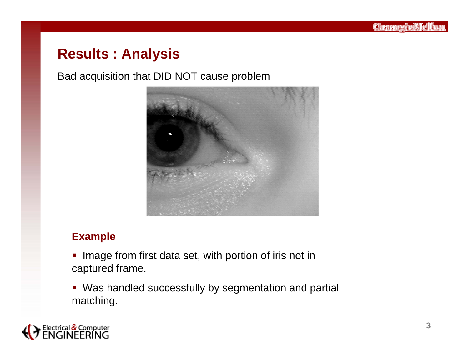#### Bad acquisition that DID NOT cause problem



#### **Example**

- **IMage from first data set, with portion of iris not in** captured frame.
- Was handled successfully by segmentation and partial matching.

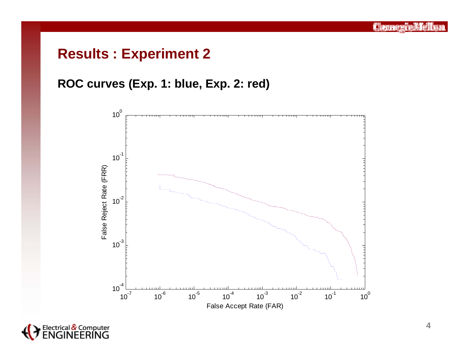# **Results : Experiment 2**

### **ROC curves (Exp. 1: blue, Exp. 2: red)**



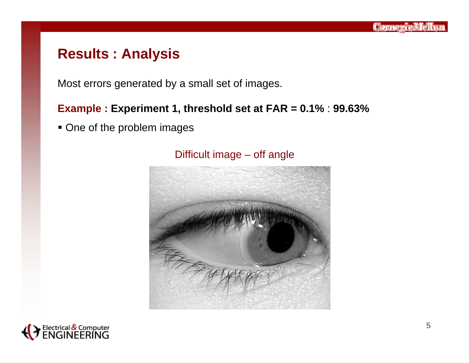Most errors generated by a small set of images.

#### **Example : Experiment 1, threshold set at FAR = 0.1%** : **99.63%**

■ One of the problem images



#### Difficult image – off angle

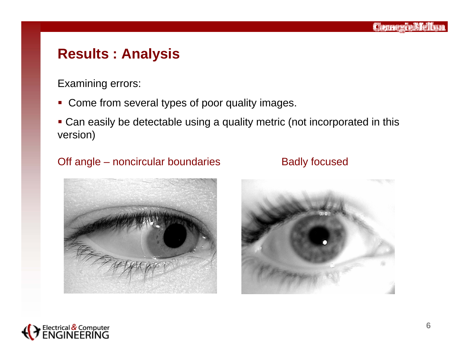Examining errors:

- $\overline{\phantom{a}}$ Come from several types of poor quality images.
- Can easily be detectable using a quality metric (not incorporated in this version)

#### Off angle – noncircular boundaries Badly focused





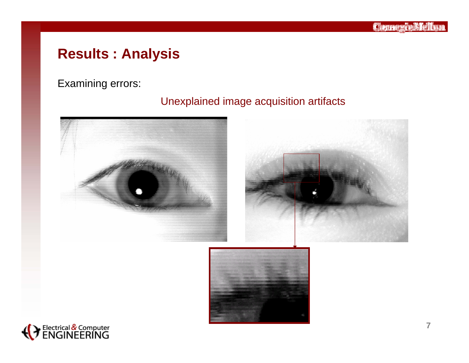Examining errors:

#### Unexplained image acquisition artifacts





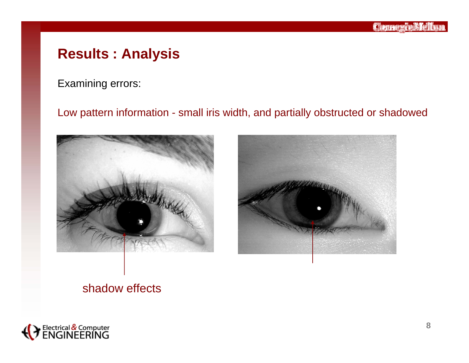Examining errors:

#### Low pattern information - small iris width, and partially obstructed or shadowed





#### shadow effects

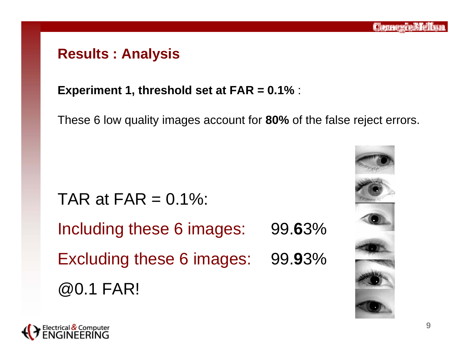**Experiment 1, threshold set at FAR = 0.1%** :

These 6 low quality images account for **80%** of the false reject errors.

# TAR at  $FAR = 0.1\%$ :

Including these 6 images: 99.**6**3% Excluding these 6 images: 99.**9**3% @0.1 FAR!



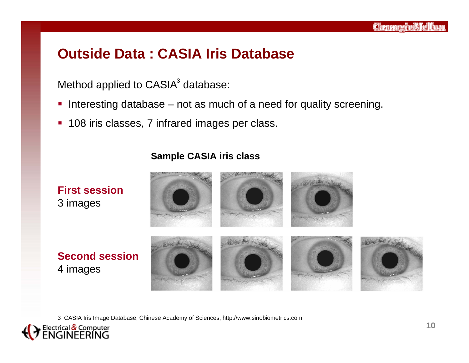# **Outside Data : CASIA Iris Database**

Method applied to CASIA $^{\rm 3}$  database:

- $\overline{\phantom{a}}$ Interesting database – not as much of a need for quality screening.
- $\overline{\phantom{a}}$ 108 iris classes, 7 infrared images per class.

#### **Sample CASIA iris class**



3 CASIA Iris Image Database, Chinese Academy of Sciences, http://www.sinobiometrics.com

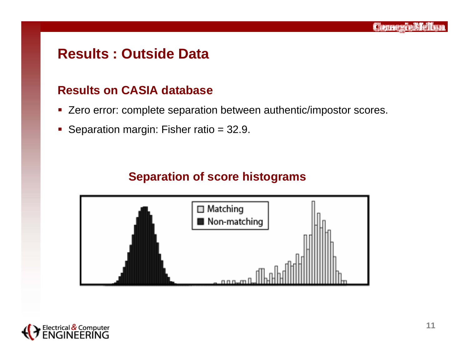# **Results : Outside Data**

#### **Results on CASIA database**

- **EXETC** 2 Find error: complete separation between authentic/impostor scores.
- $\overline{\phantom{a}}$ Separation margin: Fisher ratio = 32.9.

### **Separation of score histograms**



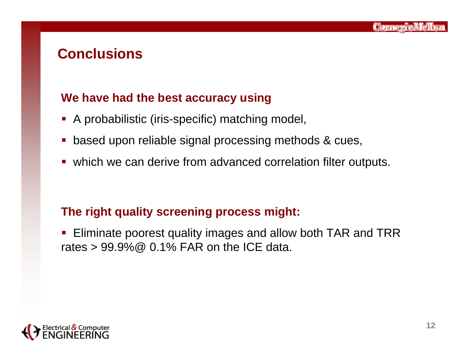### **Conclusions**

#### **We have had the best accuracy using**

- A probabilistic (iris-specific) matching model,
- based upon reliable signal processing methods & cues,
- which we can derive from advanced correlation filter outputs.

#### **The right quality screening process might:**

 Eliminate poorest quality images and allow both TAR and TRR rates  $> 99.9\%$  @ 0.1% FAR on the ICE data.

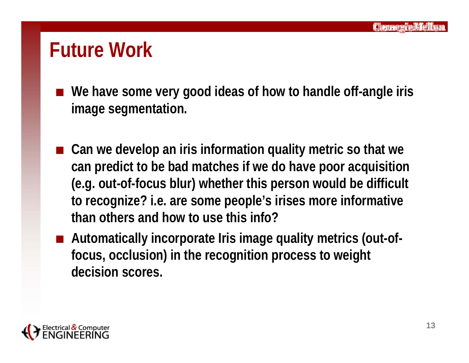# **Future Work**

- We have some very good ideas of how to handle off-angle iris **image segmentation.**
- Can we develop an iris information quality metric so that we **can predict to be bad matches if we do have poor acquisition (e.g. out-of-focus blur) whether this person would be difficult to recognize? i.e. are some people's irises more informative than others and how to use this info?**
- Automatically incorporate Iris image quality metrics (out-of**focus, occlusion) in the recognition process to weight decision scores.**